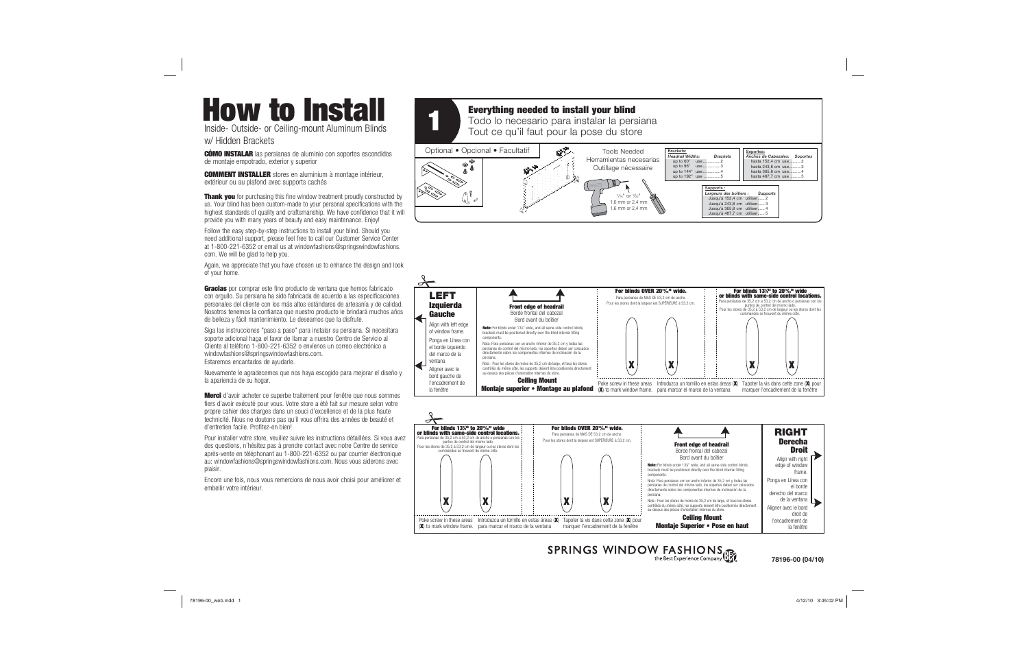# **How to Install**

## **Everything needed to install your blind**

**Thank you** for purchasing this fine window treatment proudly constructed by us. Your blind has been custom-made to your personal specifications with the highest standards of quality and craftsmanship. We have confidence that it will provide you with many years of beauty and easy maintenance. Enjoy!

Follow the easy step-by-step instructions to install your blind. Should you need additional support, please feel free to call our Customer Service Center at 1-800-221-6352 or email us at windowfashions@springswindowfashions. com. We will be glad to help you.

Again, we appreciate that you have chosen us to enhance the design and look of your home.

**Gracias** por comprar este fino producto de ventana que hemos fabricado con orgullo. Su persiana ha sido fabricada de acuerdo a las especificaciones personales del cliente con los más altos estándares de artesanía y de calidad. Nosotros tenemos la confianza que nuestro producto le brindará muchos años de belleza y fácil mantenimiento. Le deseamos que la disfrute.

Siga las instrucciones "paso a paso" para instalar su persiana. Si necesitara soporte adicional haga el favor de llamar a nuestro Centro de Servicio al Cliente al teléfono 1-800-221-6352 o envíenos un correo electrónico a windowfashions@springswindowfashions.com. Estaremos encantados de ayudarle.

Nuevamente le agradecemos que nos haya escogido para mejorar el diseño y la apariencia de su hogar.

**Merci** d'avoir acheter ce superbe traitement pour fenêtre que nous sommes fiers d'avoir exécuté pour vous. Votre store a été fait sur mesure selon votre propre cahier des charges dans un souci d'excellence et de la plus haute technicité. Nous ne doutons pas qu'il vous offrira des années de beauté et d'entretien facile. Profitez-en bien!

Pour installer votre store, veuillez suivre les instructions détaillées. Si vous avez des questions, n'hésitez pas à prendre contact avec notre Centre de service après-vente en téléphonant au 1-800-221-6352 ou par courrier électronique au: windowfashions@springswindowfashions.com. Nous vous aiderons avec plaisir.

Encore une fois, nous vous remercions de nous avoir choisi pour améliorer et embellir votre intérieur.







SPRINGS WINDOW FASHIONS

#### **78196-00 (04/10)**

4/12/10 3:45:02 PM

Inside- Outside- or Ceiling-mount Aluminum Blinds w/ Hidden Brackets

**CÓMO INSTALAR** las persianas de aluminio con soportes escondidos de montaje empotrado, exterior y superior

**COMMENT INSTALLER** stores en aluminium à montage intérieur, extérieur ou au plafond avec supports cachés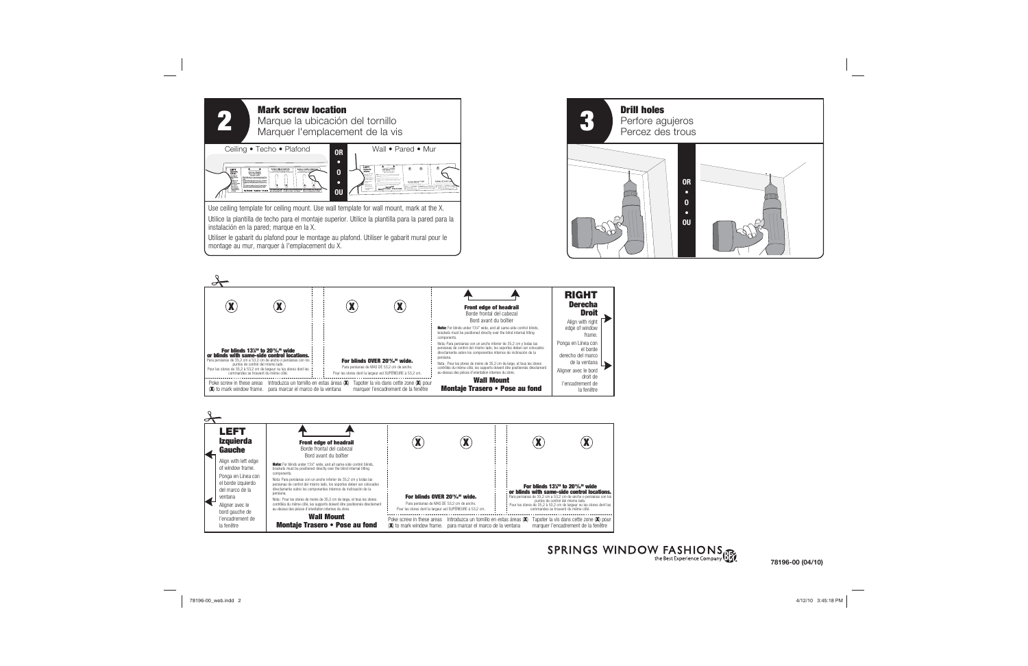





# SPRINGS WINDOW FASHIONS



#### **78196-00 (04/10)**

4/12/10 3:45:18 PM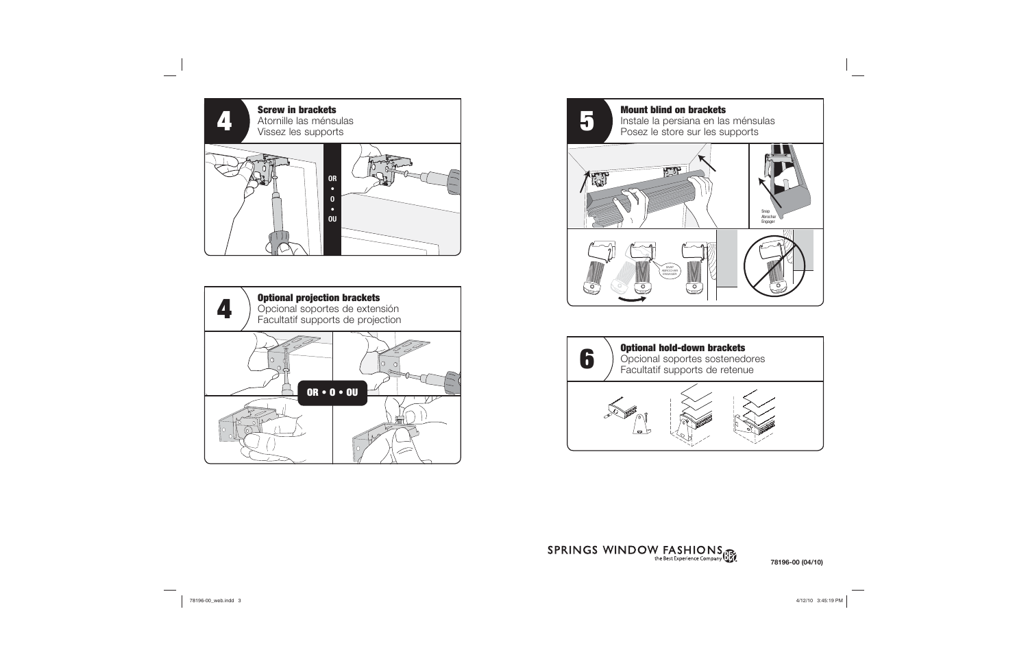





# SPRINGS WINDOW FASHIONS



### **78196-00 (04/10)**

 $4/12/10$  3:45:19 PM